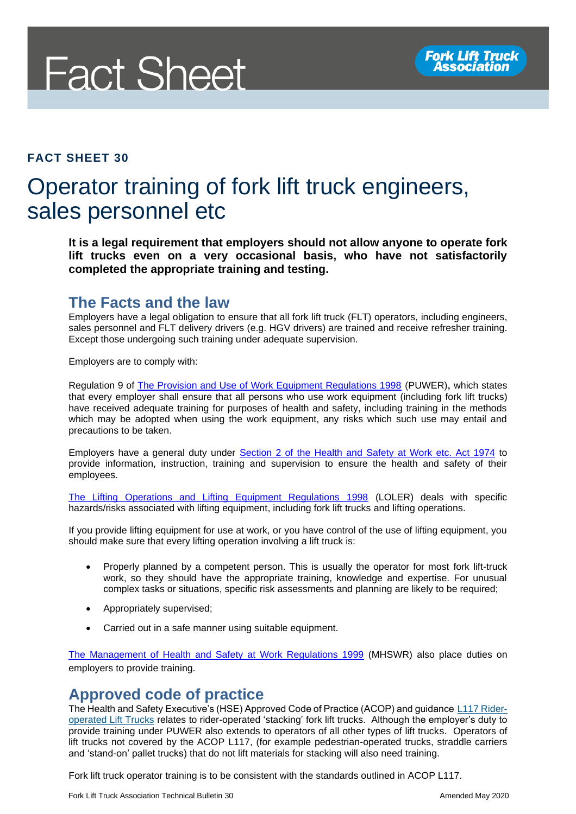

#### **FACT SHEET 30**

# Operator training of fork lift truck engineers, sales personnel etc

**It is a legal requirement that employers should not allow anyone to operate fork lift trucks even on a very occasional basis, who have not satisfactorily completed the appropriate training and testing.**

## **The Facts and the law**

Employers have a legal obligation to ensure that all fork lift truck (FLT) operators, including engineers, sales personnel and FLT delivery drivers (e.g. HGV drivers) are trained and receive refresher training. Except those undergoing such training under adequate supervision.

Employers are to comply with:

Regulation 9 of [The Provision and Use of Work Equipment Regulations 1998](http://www.legislation.gov.uk/uksi/1998/2306/regulation/9/made) (PUWER), which states that every employer shall ensure that all persons who use work equipment (including fork lift trucks) have received adequate training for purposes of health and safety, including training in the methods which may be adopted when using the work equipment, any risks which such use may entail and precautions to be taken.

Employers have a general duty under [Section 2 of the Health and Safety at Work etc. Act 1974](http://www.legislation.gov.uk/ukpga/1974/37/section/2) to provide information, instruction, training and supervision to ensure the health and safety of their employees.

[The Lifting Operations and Lifting Equipment Regulations 1998](http://www.legislation.gov.uk/uksi/1998/2307/contents/made) (LOLER) deals with specific hazards/risks associated with lifting equipment, including fork lift trucks and lifting operations.

If you provide lifting equipment for use at work, or you have control of the use of lifting equipment, you should make sure that every lifting operation involving a lift truck is:

- Properly planned by a competent person. This is usually the operator for most fork lift-truck work, so they should have the appropriate training, knowledge and expertise. For unusual complex tasks or situations, specific risk assessments and planning are likely to be required;
- Appropriately supervised;
- Carried out in a safe manner using suitable equipment.

[The Management of Health and Safety at Work Regulations 1999](http://www.legislation.gov.uk/uksi/1999/3242/contents/made) (MHSWR) also place duties on employers to provide training.

#### **Approved code of practice**

The Health and Safety Executive's (HSE) Approved Code of Practice (ACOP) and guidance [L117 Rider](http://www.hse.gov.uk/pUbns/priced/l117.pdf)[operated Lift Trucks](http://www.hse.gov.uk/pUbns/priced/l117.pdf) relates to rider-operated 'stacking' fork lift trucks. Although the employer's duty to provide training under PUWER also extends to operators of all other types of lift trucks. Operators of lift trucks not covered by the ACOP L117, (for example pedestrian-operated trucks, straddle carriers and 'stand-on' pallet trucks) that do not lift materials for stacking will also need training.

Fork lift truck operator training is to be consistent with the standards outlined in ACOP L117.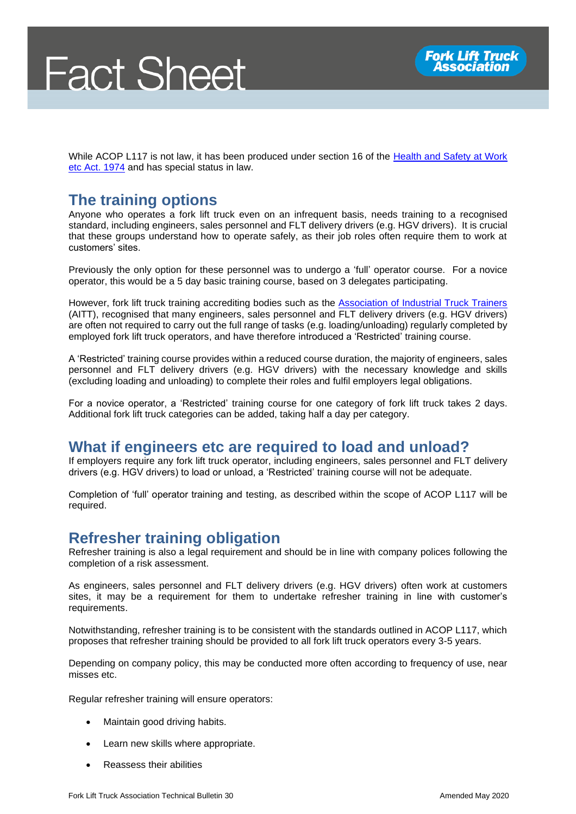While ACOP L117 is not law, it has been produced under section 16 of the [Health and Safety at Work](http://www.legislation.gov.uk/ukpga/1974/37/section/16)  [etc Act. 1974](http://www.legislation.gov.uk/ukpga/1974/37/section/16) and has special status in law.

# **The training options**

Anyone who operates a fork lift truck even on an infrequent basis, needs training to a recognised standard, including engineers, sales personnel and FLT delivery drivers (e.g. HGV drivers). It is crucial that these groups understand how to operate safely, as their job roles often require them to work at customers' sites.

Previously the only option for these personnel was to undergo a 'full' operator course. For a novice operator, this would be a 5 day basic training course, based on 3 delegates participating.

However, fork lift truck training accrediting bodies such as the [Association of Industrial Truck Trainers](https://www.aitt.co.uk/) (AITT), recognised that many engineers, sales personnel and FLT delivery drivers (e.g. HGV drivers) are often not required to carry out the full range of tasks (e.g. loading/unloading) regularly completed by employed fork lift truck operators, and have therefore introduced a 'Restricted' training course.

A 'Restricted' training course provides within a reduced course duration, the majority of engineers, sales personnel and FLT delivery drivers (e.g. HGV drivers) with the necessary knowledge and skills (excluding loading and unloading) to complete their roles and fulfil employers legal obligations.

For a novice operator, a 'Restricted' training course for one category of fork lift truck takes 2 days. Additional fork lift truck categories can be added, taking half a day per category.

## **What if engineers etc are required to load and unload?**

If employers require any fork lift truck operator, including engineers, sales personnel and FLT delivery drivers (e.g. HGV drivers) to load or unload, a 'Restricted' training course will not be adequate.

Completion of 'full' operator training and testing, as described within the scope of ACOP L117 will be required.

## **Refresher training obligation**

Refresher training is also a legal requirement and should be in line with company polices following the completion of a risk assessment.

As engineers, sales personnel and FLT delivery drivers (e.g. HGV drivers) often work at customers sites, it may be a requirement for them to undertake refresher training in line with customer's requirements.

Notwithstanding, refresher training is to be consistent with the standards outlined in ACOP L117, which proposes that refresher training should be provided to all fork lift truck operators every 3-5 years.

Depending on company policy, this may be conducted more often according to frequency of use, near misses etc.

Regular refresher training will ensure operators:

- Maintain good driving habits.
- Learn new skills where appropriate.
- Reassess their abilities